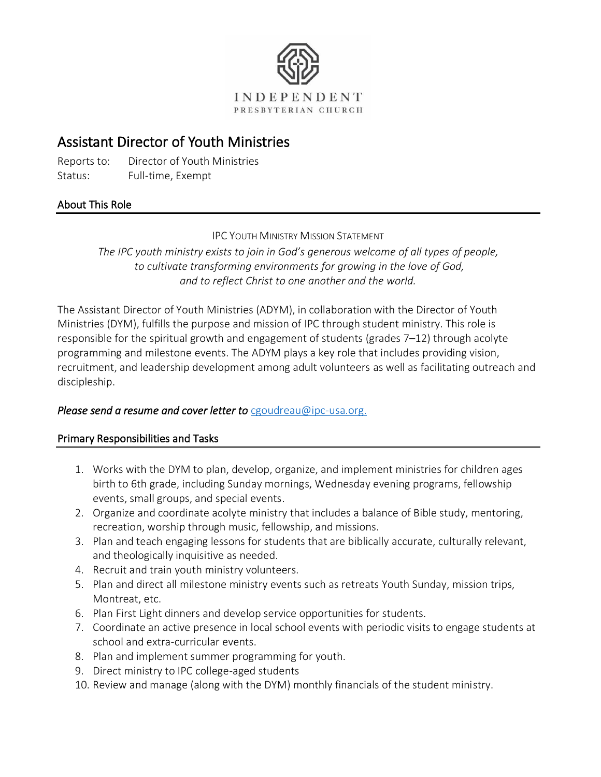

# Assistant Director of Youth Ministries

Reports to: Director of Youth Ministries Status: Full-time, Exempt

## About This Role

**IPC YOUTH MINISTRY MISSION STATEMENT** 

*The IPC youth ministry exists to join in God's generous welcome of all types of people, to cultivate transforming environments for growing in the love of God, and to reflect Christ to one another and the world.*

The Assistant Director of Youth Ministries (ADYM), in collaboration with the Director of Youth Ministries (DYM), fulfills the purpose and mission of IPC through student ministry. This role is responsible for the spiritual growth and engagement of students (grades 7–12) through acolyte programming and milestone events. The ADYM plays a key role that includes providing vision, recruitment, and leadership development among adult volunteers as well as facilitating outreach and discipleship.

### *Please send a resume and cover letter to* [cgoudreau@ipc-usa.org.](mailto:cgoudreau@ipc-usa.org?subject=Assistant%20Director%20of%20Youth%20Ministries)

### Primary Responsibilities and Tasks

- 1. Works with the DYM to plan, develop, organize, and implement ministries for children ages birth to 6th grade, including Sunday mornings, Wednesday evening programs, fellowship events, small groups, and special events.
- 2. Organize and coordinate acolyte ministry that includes a balance of Bible study, mentoring, recreation, worship through music, fellowship, and missions.
- 3. Plan and teach engaging lessons for students that are biblically accurate, culturally relevant, and theologically inquisitive as needed.
- 4. Recruit and train youth ministry volunteers.
- 5. Plan and direct all milestone ministry events such as retreats Youth Sunday, mission trips, Montreat, etc.
- 6. Plan First Light dinners and develop service opportunities for students.
- 7. Coordinate an active presence in local school events with periodic visits to engage students at school and extra-curricular events.
- 8. Plan and implement summer programming for youth.
- 9. Direct ministry to IPC college-aged students
- 10. Review and manage (along with the DYM) monthly financials of the student ministry.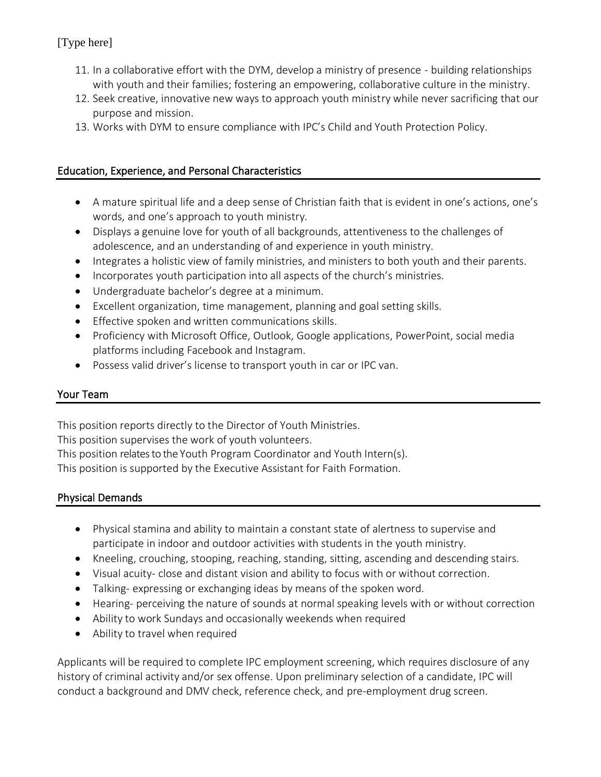# [Type here]

- 11. In a collaborative effort with the DYM, develop a ministry of presence building relationships with youth and their families; fostering an empowering, collaborative culture in the ministry.
- 12. Seek creative, innovative new ways to approach youth ministry while never sacrificing that our purpose and mission.
- 13. Works with DYM to ensure compliance with IPC's Child and Youth Protection Policy.

### Education, Experience, and Personal Characteristics

- A mature spiritual life and a deep sense of Christian faith that is evident in one's actions, one's words, and one's approach to youth ministry.
- Displays a genuine love for youth of all backgrounds, attentiveness to the challenges of adolescence, and an understanding of and experience in youth ministry.
- Integrates a holistic view of family ministries, and ministers to both youth and their parents.
- Incorporates youth participation into all aspects of the church's ministries.
- Undergraduate bachelor's degree at a minimum.
- Excellent organization, time management, planning and goal setting skills.
- Effective spoken and written communications skills.
- Proficiency with Microsoft Office, Outlook, Google applications, PowerPoint, social media platforms including Facebook and Instagram.
- Possess valid driver's license to transport youth in car or IPC van.

### Your Team

This position reports directly to the Director of Youth Ministries.

This position supervises the work of youth volunteers.

This position relates to the Youth Program Coordinator and Youth Intern(s).

This position is supported by the Executive Assistant for Faith Formation.

### Physical Demands

- Physical stamina and ability to maintain a constant state of alertness to supervise and participate in indoor and outdoor activities with students in the youth ministry.
- Kneeling, crouching, stooping, reaching, standing, sitting, ascending and descending stairs.
- Visual acuity- close and distant vision and ability to focus with or without correction.
- Talking- expressing or exchanging ideas by means of the spoken word.
- Hearing- perceiving the nature of sounds at normal speaking levels with or without correction
- Ability to work Sundays and occasionally weekends when required
- Ability to travel when required

Applicants will be required to complete IPC employment screening, which requires disclosure of any history of criminal activity and/or sex offense. Upon preliminary selection of a candidate, IPC will conduct a background and DMV check, reference check, and pre-employment drug screen.